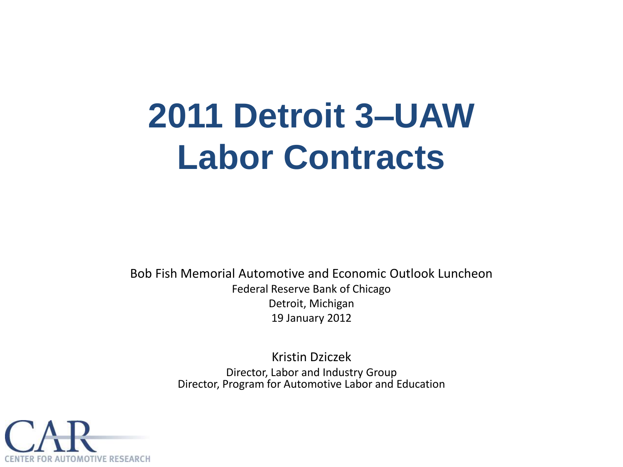# **2011 Detroit 3–UAW Labor Contracts**

Bob Fish Memorial Automotive and Economic Outlook Luncheon Federal Reserve Bank of Chicago Detroit, Michigan 19 January 2012

> Kristin Dziczek Director, Labor and Industry Group Director, Program for Automotive Labor and Education

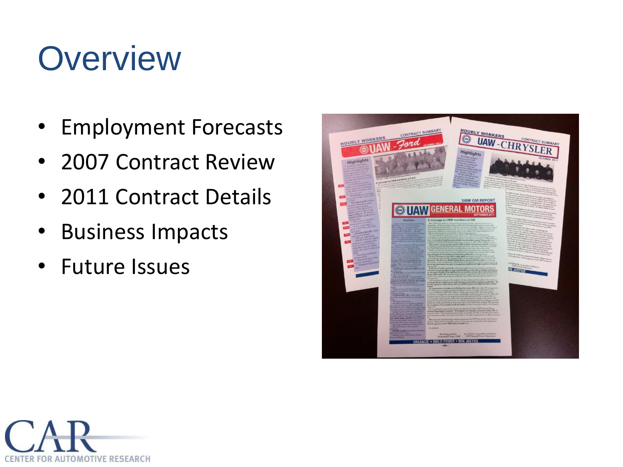# **Overview**

- Employment Forecasts
- 2007 Contract Review
- 2011 Contract Details
- Business Impacts
- Future Issues



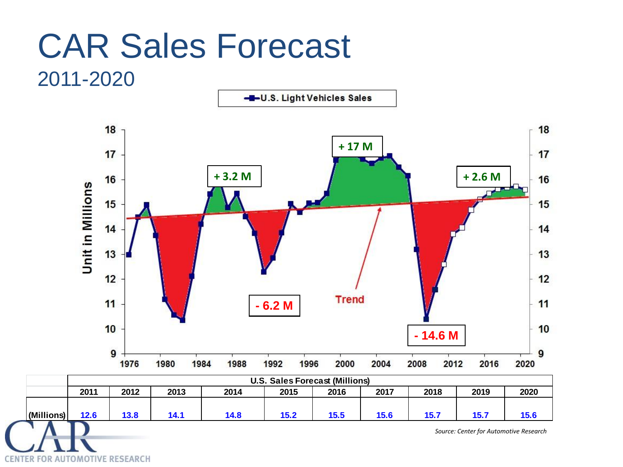#### CAR Sales Forecast 2011-2020

-DJ.S. Light Vehicles Sales



CENTER FOR AUTOMOTIVE RESEARCH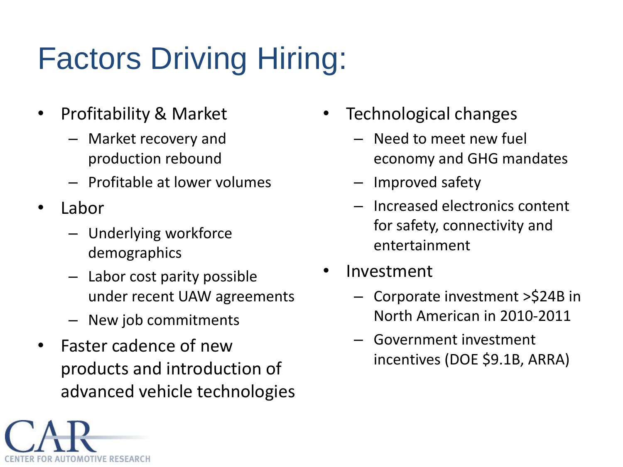# Factors Driving Hiring:

- Profitability & Market
	- Market recovery and production rebound
	- Profitable at lower volumes
- Labor

FOR AUTOMOTIVE RESEARCH

- Underlying workforce demographics
- Labor cost parity possible under recent UAW agreements
- New job commitments
- Faster cadence of new products and introduction of advanced vehicle technologies
- Technological changes
	- Need to meet new fuel economy and GHG mandates
	- Improved safety
	- Increased electronics content for safety, connectivity and entertainment
- **Investment** 
	- Corporate investment >\$24B in North American in 2010-2011
	- Government investment incentives (DOE \$9.1B, ARRA)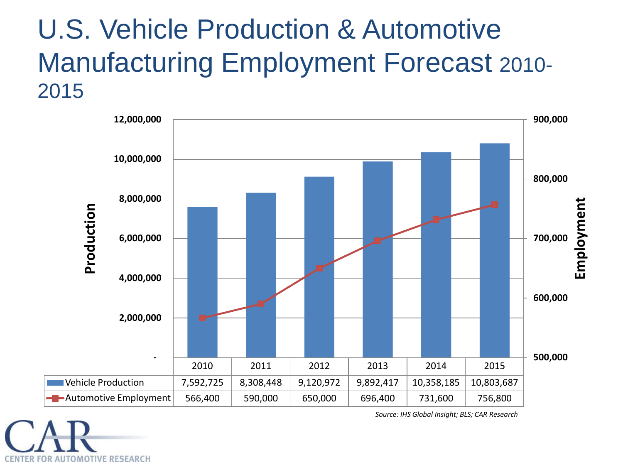#### U.S. Vehicle Production & Automotive Manufacturing Employment Forecast 2010- 2015



CENTER FOR AUTOMOTIVE RESEARCH

*Source: IHS Global Insight; BLS; CAR Research*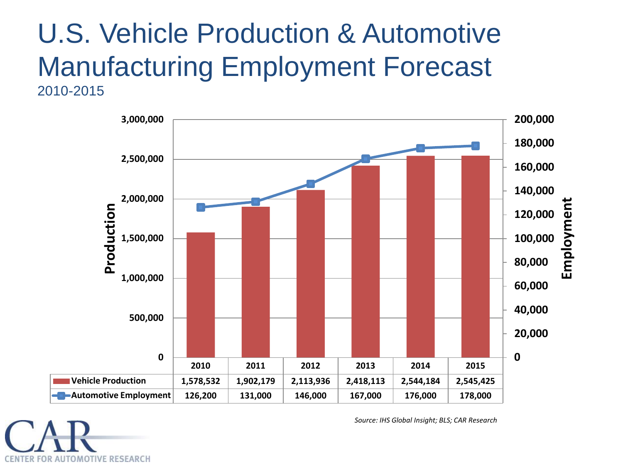#### U.S. Vehicle Production & Automotive Manufacturing Employment Forecast 2010-2015





*Source: IHS Global Insight; BLS; CAR Research*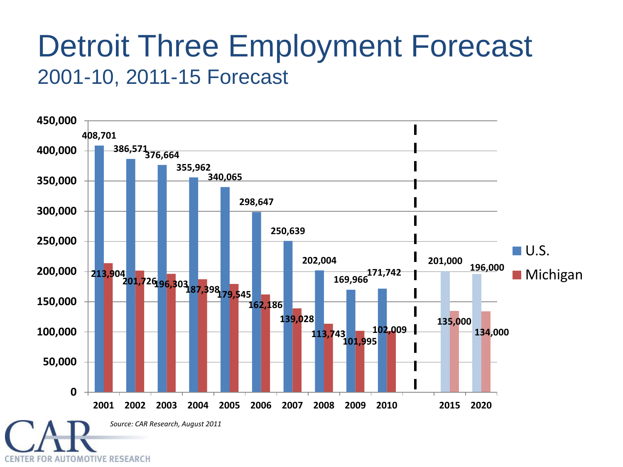#### Detroit Three Employment Forecast 2001-10, 2011-15 Forecast

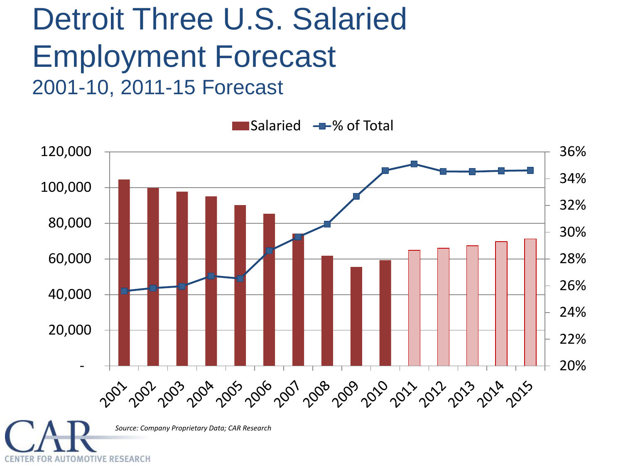#### Detroit Three U.S. Salaried Employment Forecast 2001-10, 2011-15 Forecast

CENTER FOR AUTOMOTIVE RESEARCH



Salaried % of Total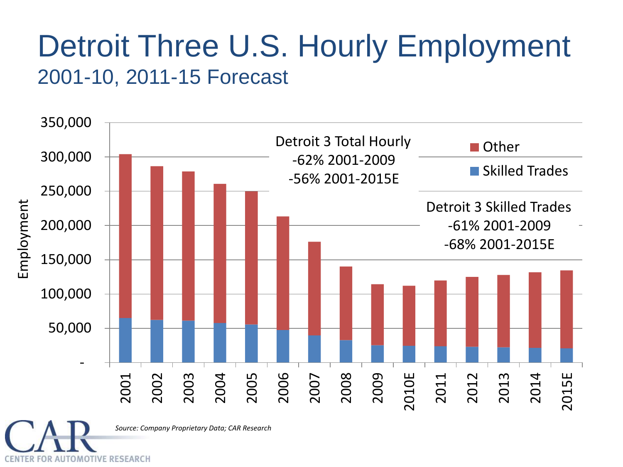#### Detroit Three U.S. Hourly Employment 2001-10, 2011-15 Forecast



*Source: Company Proprietary Data; CAR Research*

**FOR AUTOMOTIVE RESEARCH**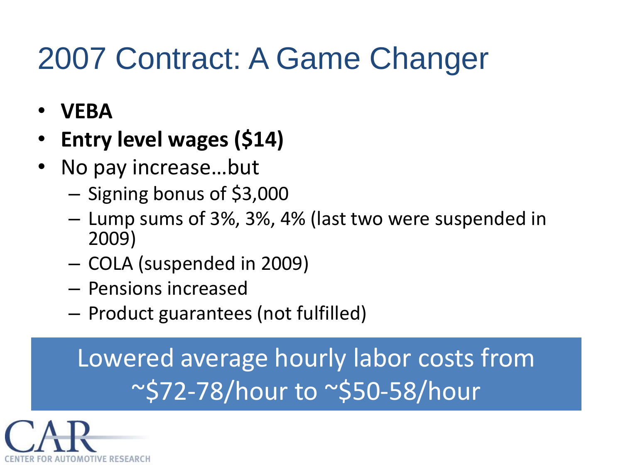## 2007 Contract: A Game Changer

- **VEBA**
- **Entry level wages (\$14)**
- No pay increase...but
	- Signing bonus of \$3,000
	- Lump sums of 3%, 3%, 4% (last two were suspended in 2009)
	- COLA (suspended in 2009)
	- Pensions increased
	- Product guarantees (not fulfilled)

Lowered average hourly labor costs from ~\$72-78/hour to ~\$50-58/hour

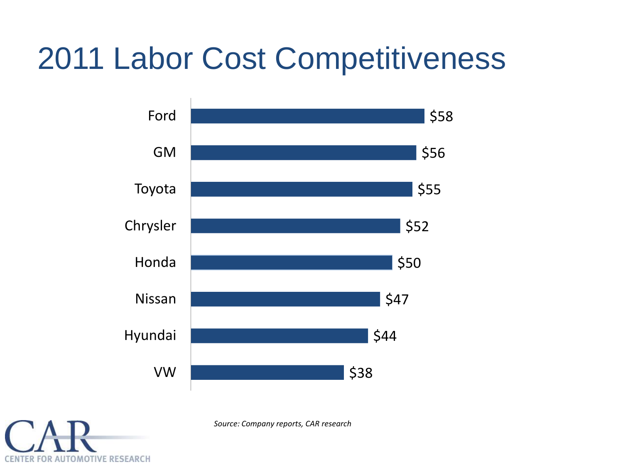## 2011 Labor Cost Competitiveness



CENTER FOR AUTOMOTIVE RESEARCH

*Source: Company reports, CAR research*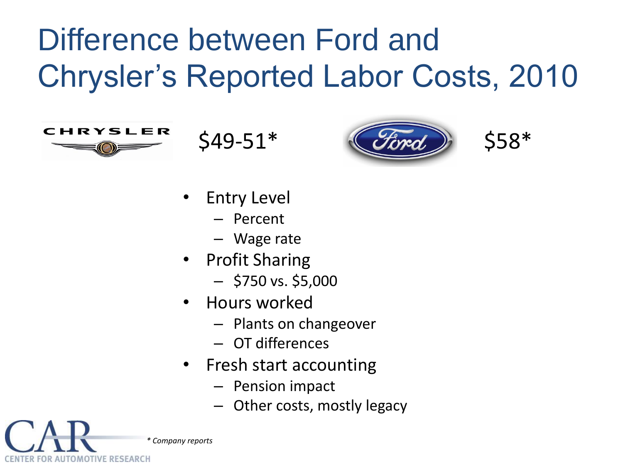## Difference between Ford and Chrysler's Reported Labor Costs, 2010



**ENTER FOR AUTOMOTIVE RESEARCH** 





- **Entry Level** 
	- Percent
	- Wage rate
- Profit Sharing
	- $-$  \$750 vs. \$5,000
- Hours worked
	- Plants on changeover
	- OT differences
- Fresh start accounting
	- Pension impact
	- Other costs, mostly legacy

*\* Company reports*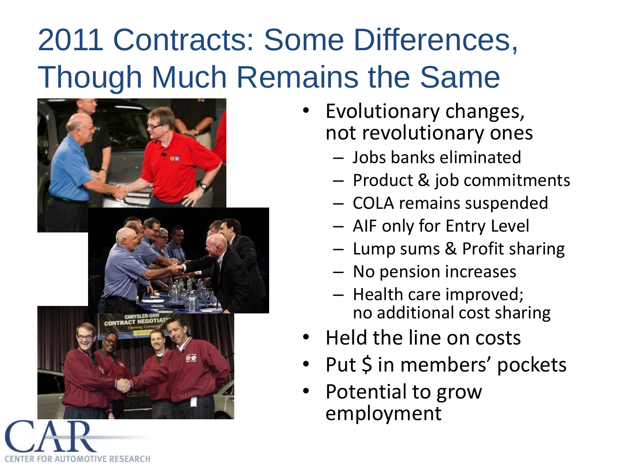## 2011 Contracts: Some Differences, Though Much Remains the Same



OMOTIVE RESEARCH

- Evolutionary changes, not revolutionary ones
	- Jobs banks eliminated
	- Product & job commitments
	- COLA remains suspended
	- AIF only for Entry Level
	- Lump sums & Profit sharing
	- No pension increases
	- Health care improved; no additional cost sharing
- Held the line on costs
- Put \$ in members' pockets
- Potential to grow employment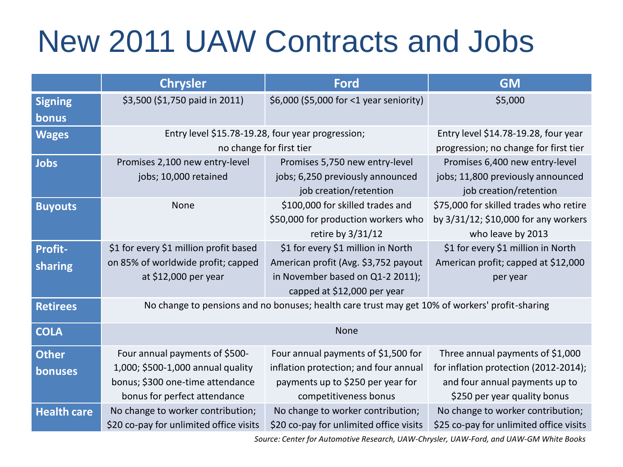## New 2011 UAW Contracts and Jobs

|                           | <b>Chrysler</b>                                                                                                                         | <b>Ford</b>                                                                                                                                   | <b>GM</b>                                                                                                                                   |
|---------------------------|-----------------------------------------------------------------------------------------------------------------------------------------|-----------------------------------------------------------------------------------------------------------------------------------------------|---------------------------------------------------------------------------------------------------------------------------------------------|
| <b>Signing</b><br>bonus   | \$3,500 (\$1,750 paid in 2011)                                                                                                          | \$6,000 (\$5,000 for <1 year seniority)                                                                                                       | \$5,000                                                                                                                                     |
| <b>Wages</b>              | Entry level \$15.78-19.28, four year progression;                                                                                       | no change for first tier                                                                                                                      | Entry level \$14.78-19.28, four year<br>progression; no change for first tier                                                               |
| <b>Jobs</b>               | Promises 2,100 new entry-level<br>jobs; 10,000 retained                                                                                 | Promises 5,750 new entry-level<br>jobs; 6,250 previously announced<br>job creation/retention                                                  | Promises 6,400 new entry-level<br>jobs; 11,800 previously announced<br>job creation/retention                                               |
| <b>Buyouts</b>            | None                                                                                                                                    | \$100,000 for skilled trades and<br>\$50,000 for production workers who<br>retire by 3/31/12                                                  | \$75,000 for skilled trades who retire<br>by 3/31/12; \$10,000 for any workers<br>who leave by 2013                                         |
| <b>Profit-</b><br>sharing | \$1 for every \$1 million profit based<br>on 85% of worldwide profit; capped<br>at \$12,000 per year                                    | \$1 for every \$1 million in North<br>American profit (Avg. \$3,752 payout<br>in November based on Q1-2 2011);<br>capped at \$12,000 per year | \$1 for every \$1 million in North<br>American profit; capped at \$12,000<br>per year                                                       |
| <b>Retirees</b>           | No change to pensions and no bonuses; health care trust may get 10% of workers' profit-sharing                                          |                                                                                                                                               |                                                                                                                                             |
| <b>COLA</b>               | None                                                                                                                                    |                                                                                                                                               |                                                                                                                                             |
| <b>Other</b><br>bonuses   | Four annual payments of \$500-<br>1,000; \$500-1,000 annual quality<br>bonus; \$300 one-time attendance<br>bonus for perfect attendance | Four annual payments of \$1,500 for<br>inflation protection; and four annual<br>payments up to \$250 per year for<br>competitiveness bonus    | Three annual payments of \$1,000<br>for inflation protection (2012-2014);<br>and four annual payments up to<br>\$250 per year quality bonus |
| <b>Health care</b>        | No change to worker contribution;<br>\$20 co-pay for unlimited office visits                                                            | No change to worker contribution;<br>\$20 co-pay for unlimited office visits                                                                  | No change to worker contribution;<br>\$25 co-pay for unlimited office visits                                                                |

*Source: Center for Automotive Research, UAW-Chrysler, UAW-Ford, and UAW-GM White Books*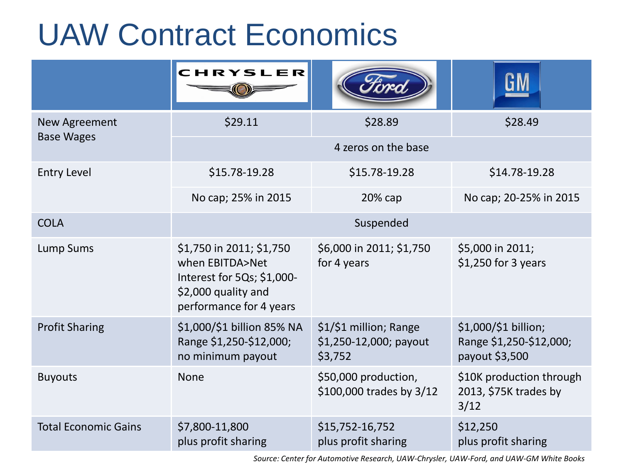## UAW Contract Economics

|                             | CHRYSLER                                                                                                                    |                                                             |                                                                   |
|-----------------------------|-----------------------------------------------------------------------------------------------------------------------------|-------------------------------------------------------------|-------------------------------------------------------------------|
| New Agreement               | \$29.11                                                                                                                     | \$28.89                                                     | \$28.49                                                           |
| <b>Base Wages</b>           |                                                                                                                             | 4 zeros on the base                                         |                                                                   |
| <b>Entry Level</b>          | \$15.78-19.28                                                                                                               | \$15.78-19.28                                               | \$14.78-19.28                                                     |
|                             | No cap; 25% in 2015                                                                                                         | $20%$ cap                                                   | No cap; 20-25% in 2015                                            |
| <b>COLA</b>                 |                                                                                                                             | Suspended                                                   |                                                                   |
| <b>Lump Sums</b>            | \$1,750 in 2011; \$1,750<br>when EBITDA>Net<br>Interest for 5Qs; \$1,000-<br>\$2,000 quality and<br>performance for 4 years | \$6,000 in 2011; \$1,750<br>for 4 years                     | \$5,000 in 2011;<br>$$1,250$ for 3 years                          |
| <b>Profit Sharing</b>       | \$1,000/\$1 billion 85% NA<br>Range \$1,250-\$12,000;<br>no minimum payout                                                  | \$1/\$1 million; Range<br>\$1,250-12,000; payout<br>\$3,752 | \$1,000/\$1 billion;<br>Range \$1,250-\$12,000;<br>payout \$3,500 |
| <b>Buyouts</b>              | <b>None</b>                                                                                                                 | \$50,000 production,<br>\$100,000 trades by 3/12            | \$10K production through<br>2013, \$75K trades by<br>3/12         |
| <b>Total Economic Gains</b> | \$7,800-11,800<br>plus profit sharing                                                                                       | \$15,752-16,752<br>plus profit sharing                      | \$12,250<br>plus profit sharing                                   |

*Source: Center for Automotive Research, UAW-Chrysler, UAW-Ford, and UAW-GM White Books*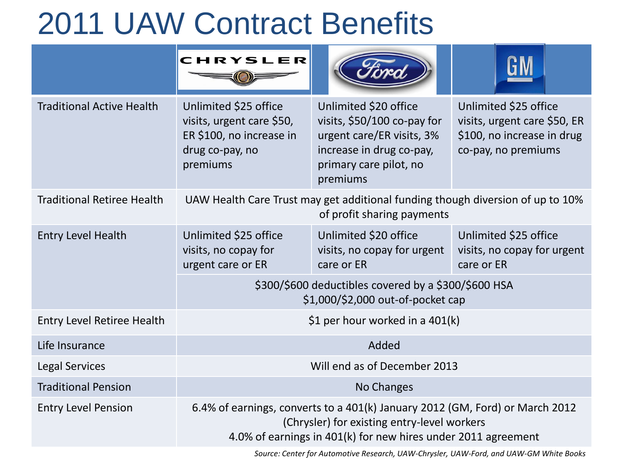## 2011 UAW Contract Benefits

|                                   | <b>CHRYSLER</b>                                                                                                                                                                              |                                                                                                                                                     |                                                                                                            |  |
|-----------------------------------|----------------------------------------------------------------------------------------------------------------------------------------------------------------------------------------------|-----------------------------------------------------------------------------------------------------------------------------------------------------|------------------------------------------------------------------------------------------------------------|--|
| <b>Traditional Active Health</b>  | Unlimited \$25 office<br>visits, urgent care \$50,<br>ER \$100, no increase in<br>drug co-pay, no<br>premiums                                                                                | Unlimited \$20 office<br>visits, \$50/100 co-pay for<br>urgent care/ER visits, 3%<br>increase in drug co-pay,<br>primary care pilot, no<br>premiums | Unlimited \$25 office<br>visits, urgent care \$50, ER<br>\$100, no increase in drug<br>co-pay, no premiums |  |
| <b>Traditional Retiree Health</b> | UAW Health Care Trust may get additional funding though diversion of up to 10%<br>of profit sharing payments                                                                                 |                                                                                                                                                     |                                                                                                            |  |
| <b>Entry Level Health</b>         | Unlimited \$25 office<br>visits, no copay for<br>urgent care or ER                                                                                                                           | Unlimited \$20 office<br>visits, no copay for urgent<br>care or ER                                                                                  | Unlimited \$25 office<br>visits, no copay for urgent<br>care or ER                                         |  |
|                                   | \$300/\$600 deductibles covered by a \$300/\$600 HSA<br>\$1,000/\$2,000 out-of-pocket cap                                                                                                    |                                                                                                                                                     |                                                                                                            |  |
| <b>Entry Level Retiree Health</b> | \$1 per hour worked in a 401(k)                                                                                                                                                              |                                                                                                                                                     |                                                                                                            |  |
| Life Insurance                    | Added                                                                                                                                                                                        |                                                                                                                                                     |                                                                                                            |  |
| <b>Legal Services</b>             | Will end as of December 2013                                                                                                                                                                 |                                                                                                                                                     |                                                                                                            |  |
| <b>Traditional Pension</b>        | No Changes                                                                                                                                                                                   |                                                                                                                                                     |                                                                                                            |  |
| <b>Entry Level Pension</b>        | 6.4% of earnings, converts to a 401(k) January 2012 (GM, Ford) or March 2012<br>(Chrysler) for existing entry-level workers<br>4.0% of earnings in 401(k) for new hires under 2011 agreement |                                                                                                                                                     |                                                                                                            |  |

*Source: Center for Automotive Research, UAW-Chrysler, UAW-Ford, and UAW-GM White Books*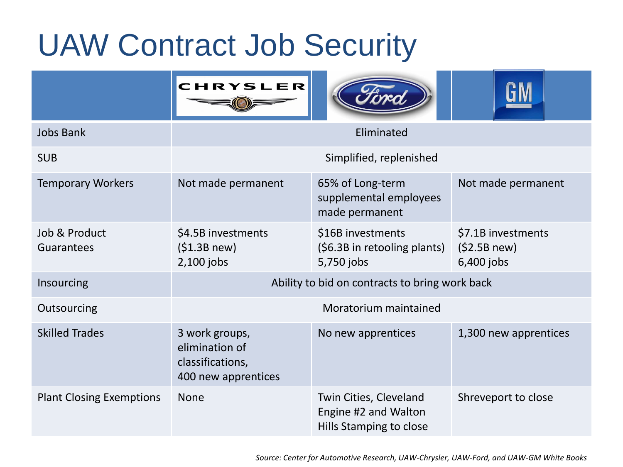## UAW Contract Job Security

|                                 | CHRYSLER                                                                    |                                                                           |                                                 |
|---------------------------------|-----------------------------------------------------------------------------|---------------------------------------------------------------------------|-------------------------------------------------|
| <b>Jobs Bank</b>                | Eliminated                                                                  |                                                                           |                                                 |
| <b>SUB</b>                      | Simplified, replenished                                                     |                                                                           |                                                 |
| <b>Temporary Workers</b>        | Not made permanent                                                          | 65% of Long-term<br>supplemental employees<br>made permanent              | Not made permanent                              |
| Job & Product<br>Guarantees     | \$4.5B investments<br>(\$1.3B new)<br>2,100 jobs                            | \$16B investments<br>(\$6.3B in retooling plants)<br>5,750 jobs           | \$7.1B investments<br>(52.5B new)<br>6,400 jobs |
| Insourcing                      | Ability to bid on contracts to bring work back                              |                                                                           |                                                 |
| Outsourcing                     | Moratorium maintained                                                       |                                                                           |                                                 |
| <b>Skilled Trades</b>           | 3 work groups,<br>elimination of<br>classifications,<br>400 new apprentices | No new apprentices                                                        | 1,300 new apprentices                           |
| <b>Plant Closing Exemptions</b> | <b>None</b>                                                                 | Twin Cities, Cleveland<br>Engine #2 and Walton<br>Hills Stamping to close | Shreveport to close                             |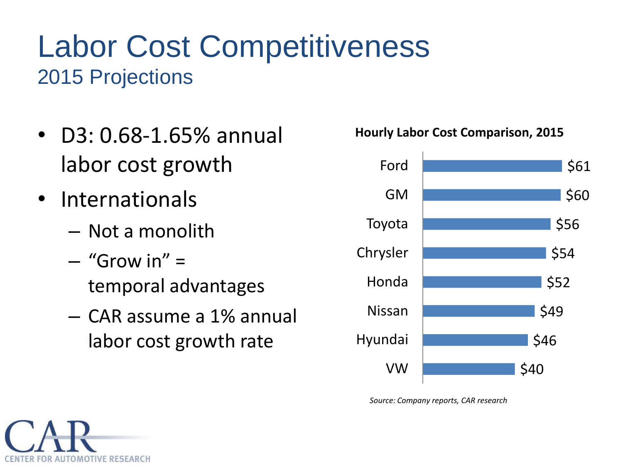#### Labor Cost Competitiveness 2015 Projections

- D3: 0.68-1.65% annual labor cost growth
- Internationals
	- Not a monolith
	- $-$  "Grow in"  $=$ temporal advantages
	- CAR assume a 1% annual labor cost growth rate



*Source: Company reports, CAR research*



#### **Hourly Labor Cost Comparison, 2015**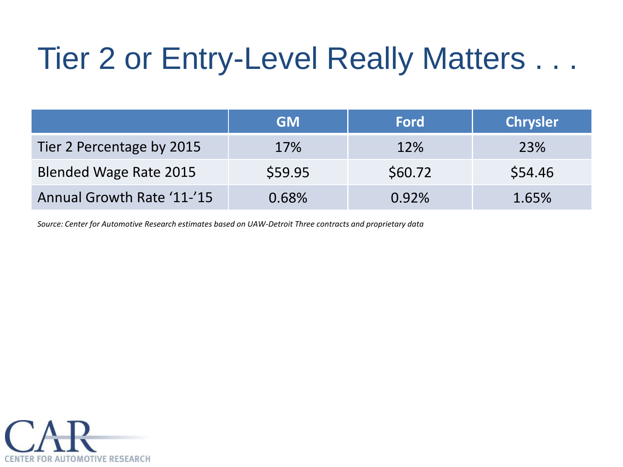## Tier 2 or Entry-Level Really Matters . . .

|                               | <b>GM</b> | <b>Ford</b> | <b>Chrysler</b> |
|-------------------------------|-----------|-------------|-----------------|
| Tier 2 Percentage by 2015     | 17%       | 12%         | 23%             |
| <b>Blended Wage Rate 2015</b> | \$59.95   | \$60.72     | \$54.46         |
| Annual Growth Rate '11-'15    | 0.68%     | 0.92%       | 1.65%           |

*Source: Center for Automotive Research estimates based on UAW-Detroit Three contracts and proprietary data*

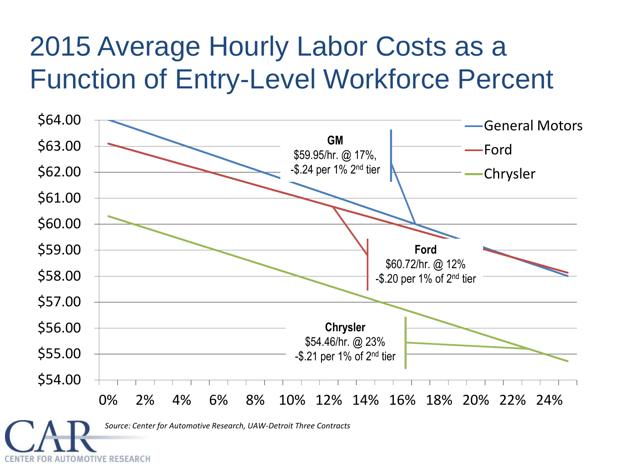#### 2015 Average Hourly Labor Costs as a Function of Entry-Level Workforce Percent

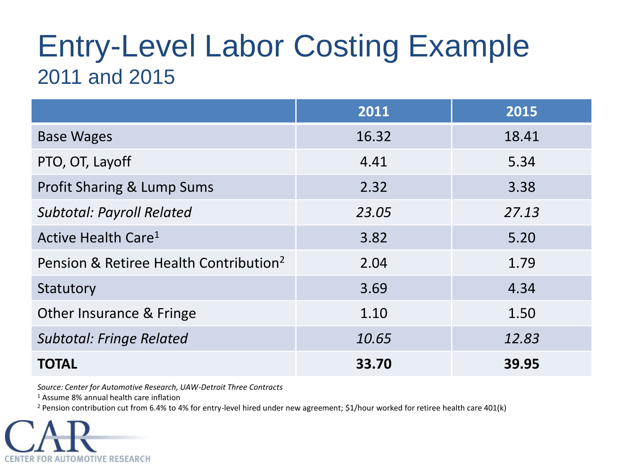#### Entry-Level Labor Costing Example 2011 and 2015

|                                                    | 2011  | 2015  |
|----------------------------------------------------|-------|-------|
| <b>Base Wages</b>                                  | 16.32 | 18.41 |
| PTO, OT, Layoff                                    | 4.41  | 5.34  |
| <b>Profit Sharing &amp; Lump Sums</b>              | 2.32  | 3.38  |
| <b>Subtotal: Payroll Related</b>                   | 23.05 | 27.13 |
| Active Health Care <sup>1</sup>                    | 3.82  | 5.20  |
| Pension & Retiree Health Contribution <sup>2</sup> | 2.04  | 1.79  |
| Statutory                                          | 3.69  | 4.34  |
| Other Insurance & Fringe                           | 1.10  | 1.50  |
| <b>Subtotal: Fringe Related</b>                    | 10.65 | 12.83 |
| <b>TOTAL</b>                                       | 33.70 | 39.95 |

*Source: Center for Automotive Research, UAW-Detroit Three Contracts*

<sup>1</sup> Assume 8% annual health care inflation

<sup>2</sup> Pension contribution cut from 6.4% to 4% for entry-level hired under new agreement; \$1/hour worked for retiree health care 401(k)

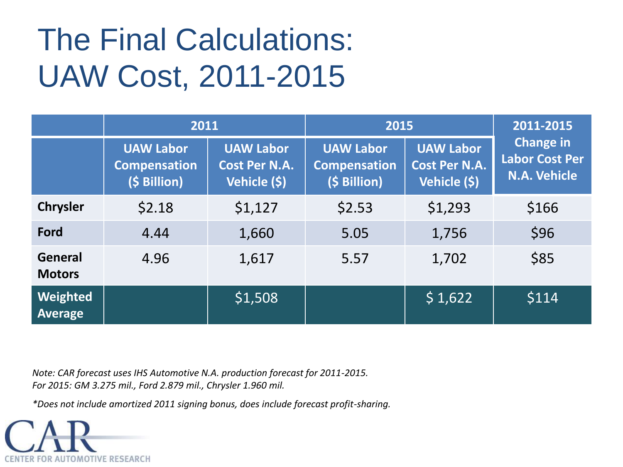## The Final Calculations: UAW Cost, 2011-2015

|                                 | 2011                                                    |                                                          | 2015                                                    |                                                          | 2011-2015                                                 |
|---------------------------------|---------------------------------------------------------|----------------------------------------------------------|---------------------------------------------------------|----------------------------------------------------------|-----------------------------------------------------------|
|                                 | <b>UAW Labor</b><br><b>Compensation</b><br>(\$ Billion) | <b>UAW Labor</b><br><b>Cost Per N.A.</b><br>Vehicle (\$) | <b>UAW Labor</b><br><b>Compensation</b><br>(\$ Billion) | <b>UAW Labor</b><br><b>Cost Per N.A.</b><br>Vehicle (\$) | <b>Change in</b><br><b>Labor Cost Per</b><br>N.A. Vehicle |
| <b>Chrysler</b>                 | \$2.18                                                  | \$1,127                                                  | \$2.53                                                  | \$1,293                                                  | \$166                                                     |
| Ford                            | 4.44                                                    | 1,660                                                    | 5.05                                                    | 1,756                                                    | \$96                                                      |
| <b>General</b><br><b>Motors</b> | 4.96                                                    | 1,617                                                    | 5.57                                                    | 1,702                                                    | \$85                                                      |
| Weighted<br>Average             |                                                         | \$1,508                                                  |                                                         | \$1,622                                                  | \$114                                                     |

*Note: CAR forecast uses IHS Automotive N.A. production forecast for 2011-2015. For 2015: GM 3.275 mil., Ford 2.879 mil., Chrysler 1.960 mil.*

*\*Does not include amortized 2011 signing bonus, does include forecast profit-sharing.*

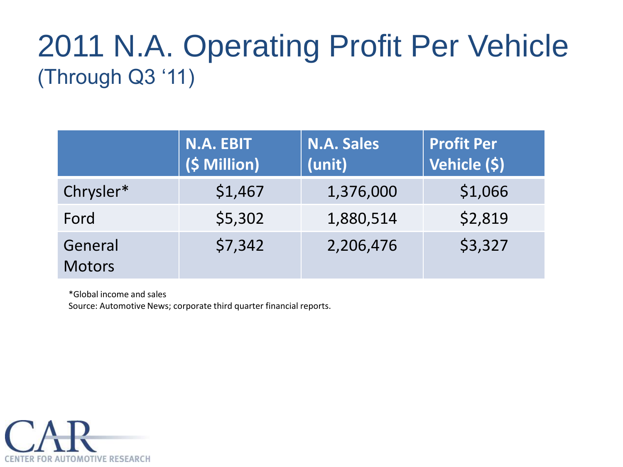#### 2011 N.A. Operating Profit Per Vehicle (Through Q3 '11)

|                          | N.A. EBIT<br>(\$ Million) | <b>N.A. Sales</b><br>(unit) | <b>Profit Per</b><br>Vehicle (\$) |
|--------------------------|---------------------------|-----------------------------|-----------------------------------|
| Chrysler*                | \$1,467                   | 1,376,000                   | \$1,066                           |
| Ford                     | \$5,302                   | 1,880,514                   | \$2,819                           |
| General<br><b>Motors</b> | \$7,342                   | 2,206,476                   | \$3,327                           |

\*Global income and sales

Source: Automotive News; corporate third quarter financial reports.

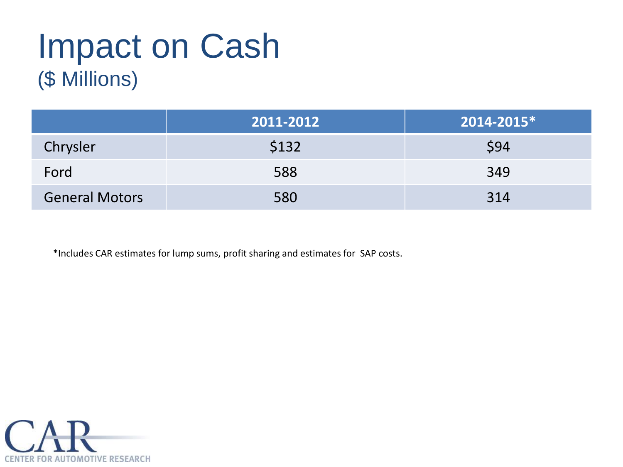## Impact on Cash (\$ Millions)

|                       | 2011-2012 | 2014-2015* |
|-----------------------|-----------|------------|
| Chrysler              | \$132     | \$94       |
| Ford                  | 588       | 349        |
| <b>General Motors</b> | 580       | 314        |

\*Includes CAR estimates for lump sums, profit sharing and estimates for SAP costs.

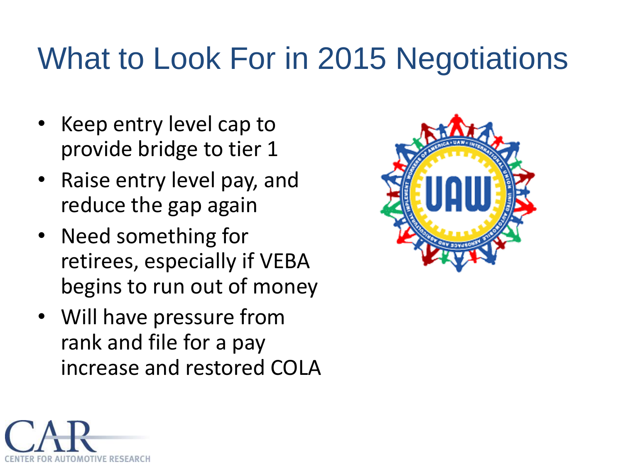## What to Look For in 2015 Negotiations

- Keep entry level cap to provide bridge to tier 1
- Raise entry level pay, and reduce the gap again
- Need something for retirees, especially if VEBA begins to run out of money
- Will have pressure from rank and file for a pay increase and restored COLA



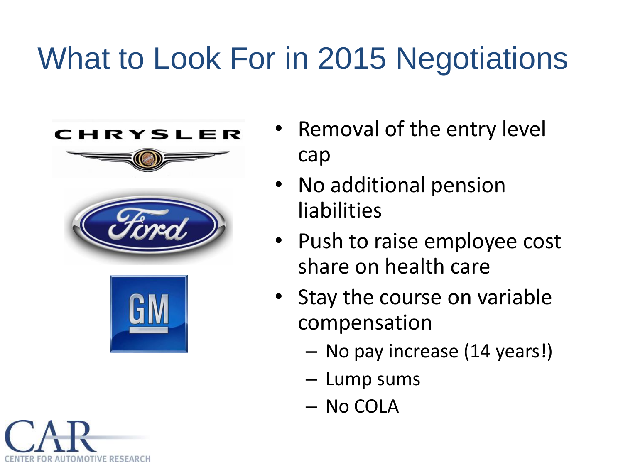## What to Look For in 2015 Negotiations









- No additional pension liabilities
- Push to raise employee cost share on health care
- Stay the course on variable compensation
	- No pay increase (14 years!)
	- Lump sums
	- No COLA

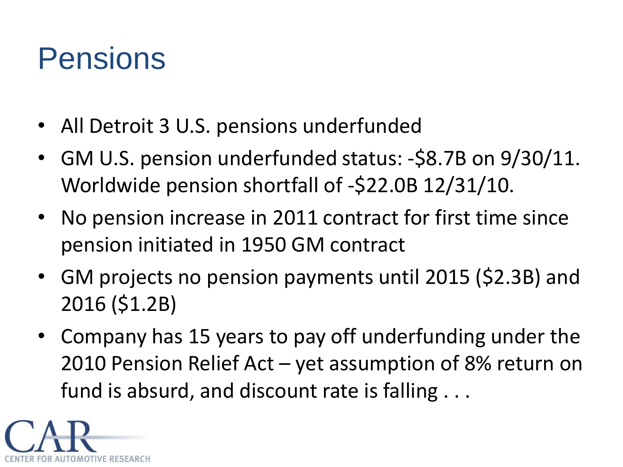## Pensions

- All Detroit 3 U.S. pensions underfunded
- GM U.S. pension underfunded status: -\$8.7B on 9/30/11. Worldwide pension shortfall of -\$22.0B 12/31/10.
- No pension increase in 2011 contract for first time since pension initiated in 1950 GM contract
- GM projects no pension payments until 2015 (\$2.3B) and 2016 (\$1.2B)
- Company has 15 years to pay off underfunding under the 2010 Pension Relief Act – yet assumption of 8% return on fund is absurd, and discount rate is falling . . .

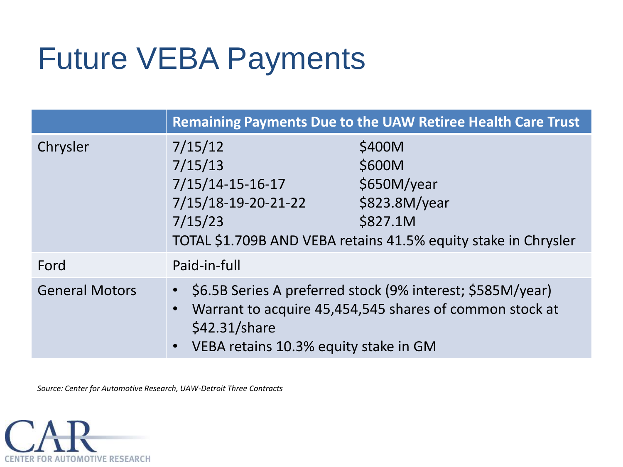## Future VEBA Payments

|                       | <b>Remaining Payments Due to the UAW Retiree Health Care Trust</b>                                                                                                                |                                                                                                                                |  |
|-----------------------|-----------------------------------------------------------------------------------------------------------------------------------------------------------------------------------|--------------------------------------------------------------------------------------------------------------------------------|--|
| Chrysler              | 7/15/12<br>7/15/13<br>$7/15/14-15-16-17$<br>7/15/18-19-20-21-22<br>7/15/23                                                                                                        | \$400M<br>\$600M<br>\$650M/year<br>\$823.8M/year<br>\$827.1M<br>TOTAL \$1.709B AND VEBA retains 41.5% equity stake in Chrysler |  |
| Ford                  | Paid-in-full                                                                                                                                                                      |                                                                                                                                |  |
| <b>General Motors</b> | \$6.5B Series A preferred stock (9% interest; \$585M/year)<br>Warrant to acquire 45,454,545 shares of common stock at<br>$$42.31/s$ hare<br>VEBA retains 10.3% equity stake in GM |                                                                                                                                |  |

*Source: Center for Automotive Research, UAW-Detroit Three Contracts*

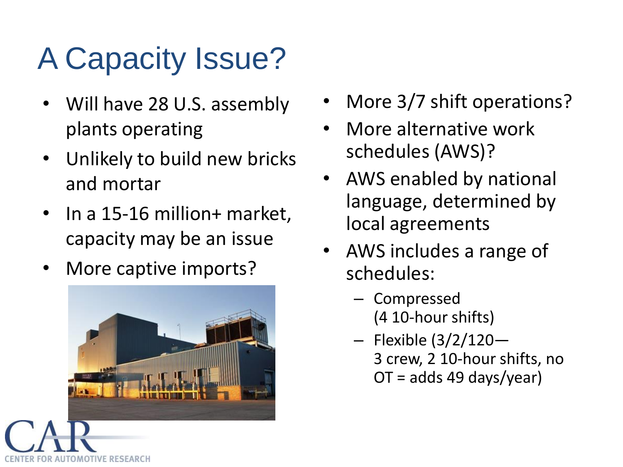## A Capacity Issue?

- Will have 28 U.S. assembly plants operating
- Unlikely to build new bricks and mortar
- In a 15-16 million+ market, capacity may be an issue
- More captive imports?



- More 3/7 shift operations?
- More alternative work schedules (AWS)?
- AWS enabled by national language, determined by local agreements
- AWS includes a range of schedules:
	- Compressed (4 10-hour shifts)
	- Flexible (3/2/120— 3 crew, 2 10-hour shifts, no OT = adds 49 days/year)